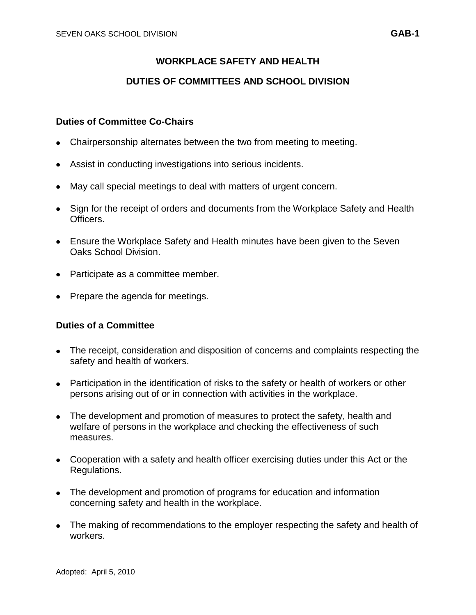# **WORKPLACE SAFETY AND HEALTH**

## **DUTIES OF COMMITTEES AND SCHOOL DIVISION**

### **Duties of Committee Co-Chairs**

- Chairpersonship alternates between the two from meeting to meeting.
- Assist in conducting investigations into serious incidents.
- May call special meetings to deal with matters of urgent concern.
- Sign for the receipt of orders and documents from the Workplace Safety and Health Officers.
- Ensure the Workplace Safety and Health minutes have been given to the Seven Oaks School Division.
- Participate as a committee member.
- Prepare the agenda for meetings.

## **Duties of a Committee**

- The receipt, consideration and disposition of concerns and complaints respecting the safety and health of workers.
- Participation in the identification of risks to the safety or health of workers or other persons arising out of or in connection with activities in the workplace.
- The development and promotion of measures to protect the safety, health and welfare of persons in the workplace and checking the effectiveness of such measures.
- Cooperation with a safety and health officer exercising duties under this Act or the Regulations.
- The development and promotion of programs for education and information concerning safety and health in the workplace.
- The making of recommendations to the employer respecting the safety and health of workers.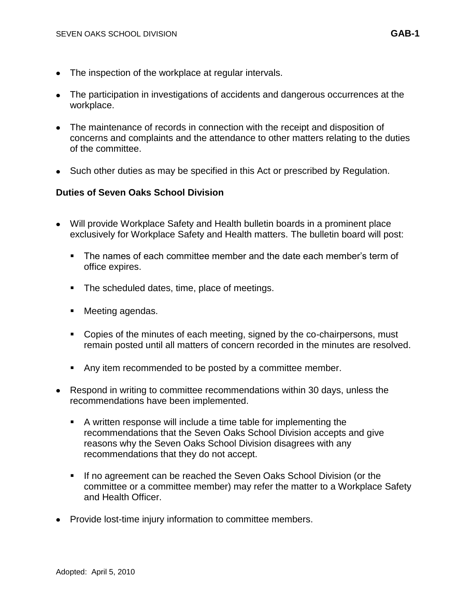- The inspection of the workplace at regular intervals.
- The participation in investigations of accidents and dangerous occurrences at the workplace.
- The maintenance of records in connection with the receipt and disposition of concerns and complaints and the attendance to other matters relating to the duties of the committee.
- Such other duties as may be specified in this Act or prescribed by Regulation.

### **Duties of Seven Oaks School Division**

- Will provide Workplace Safety and Health bulletin boards in a prominent place exclusively for Workplace Safety and Health matters. The bulletin board will post:
	- The names of each committee member and the date each member's term of office expires.
	- **The scheduled dates, time, place of meetings.**
	- Meeting agendas.
	- Copies of the minutes of each meeting, signed by the co-chairpersons, must remain posted until all matters of concern recorded in the minutes are resolved.
	- Any item recommended to be posted by a committee member.
- Respond in writing to committee recommendations within 30 days, unless the recommendations have been implemented.
	- A written response will include a time table for implementing the recommendations that the Seven Oaks School Division accepts and give reasons why the Seven Oaks School Division disagrees with any recommendations that they do not accept.
	- If no agreement can be reached the Seven Oaks School Division (or the committee or a committee member) may refer the matter to a Workplace Safety and Health Officer.
- Provide lost-time injury information to committee members.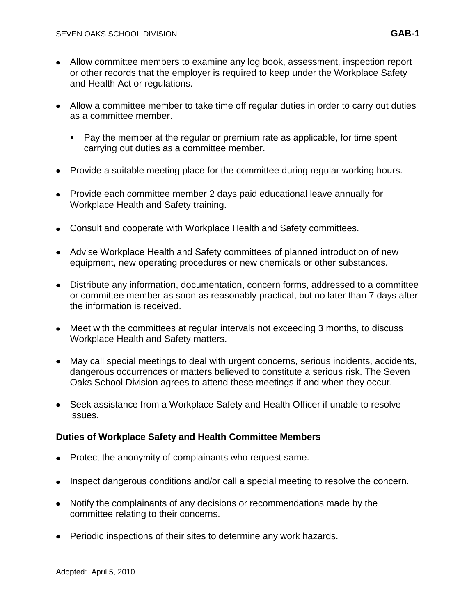- Allow committee members to examine any log book, assessment, inspection report or other records that the employer is required to keep under the Workplace Safety and Health Act or regulations.
- Allow a committee member to take time off regular duties in order to carry out duties as a committee member.
	- Pay the member at the regular or premium rate as applicable, for time spent carrying out duties as a committee member.
- Provide a suitable meeting place for the committee during regular working hours.
- Provide each committee member 2 days paid educational leave annually for Workplace Health and Safety training.
- Consult and cooperate with Workplace Health and Safety committees.
- Advise Workplace Health and Safety committees of planned introduction of new equipment, new operating procedures or new chemicals or other substances.
- Distribute any information, documentation, concern forms, addressed to a committee or committee member as soon as reasonably practical, but no later than 7 days after the information is received.
- Meet with the committees at regular intervals not exceeding 3 months, to discuss Workplace Health and Safety matters.
- May call special meetings to deal with urgent concerns, serious incidents, accidents, dangerous occurrences or matters believed to constitute a serious risk. The Seven Oaks School Division agrees to attend these meetings if and when they occur.
- Seek assistance from a Workplace Safety and Health Officer if unable to resolve issues.

#### **Duties of Workplace Safety and Health Committee Members**

- Protect the anonymity of complainants who request same.
- Inspect dangerous conditions and/or call a special meeting to resolve the concern.
- Notify the complainants of any decisions or recommendations made by the committee relating to their concerns.
- Periodic inspections of their sites to determine any work hazards.